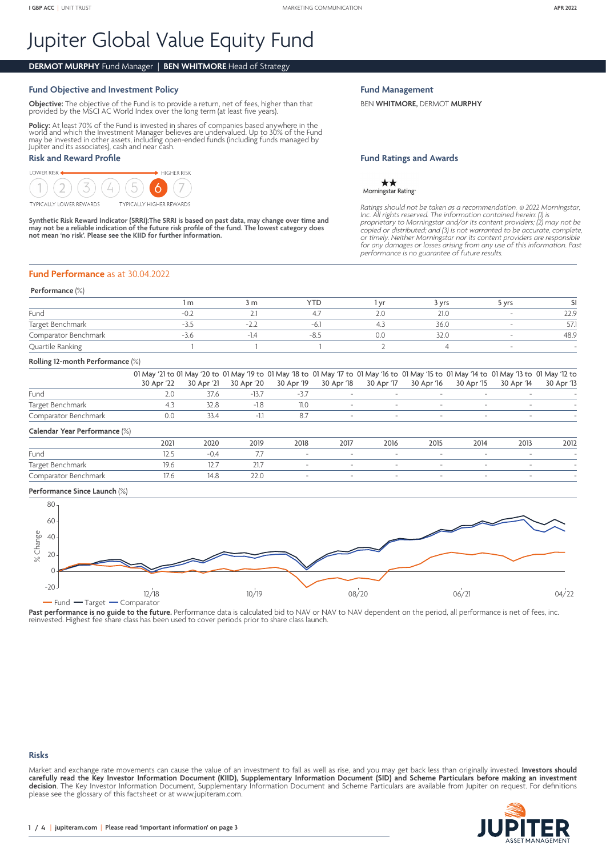# Jupiter Global Value Equity Fund

# **DERMOT MURPHY** Fund Manager | **BEN WHITMORE** Head of Strategy

# **Fund Objective and Investment Policy**

**Objective:** The objective of the Fund is to provide a return, net of fees, higher than that provided by the MSCI AC World Index over the long term (at least five years).

**Policy:** At least 70% of the Fund is invested in shares of companies based anywhere in the<br>world and which the Investment Manager believes are undervalued. Up to 30% of the Fund<br>may be invested in other assets, including Jupiter and its associates), cash and near cash.

# **Risk and Reward Profile**

LOWER RISK  $\rightarrow$  HIGHER RISK

**TYPICALLY LOWER REWARDS** 

**TYPICALLY HIGHER REWARDS** 

**Synthetic Risk Reward Indicator (SRRI):The SRRI is based on past data, may change over time and may not be a reliable indication of the future risk profile of the fund. The lowest category does not mean 'no risk'. Please see the KIID for further information.**

## **Fund Performance** as at 30.04.2022

#### **Performance** (%)

|                      | m | 3 m                   | YTI. |     | 3 Vrs | 5 vrs |      |
|----------------------|---|-----------------------|------|-----|-------|-------|------|
| Fund                 |   |                       |      |     | 21C   |       | 22.9 |
| Target Benchmark     |   | - -<br>$-1$<br>$\sim$ | -0., |     | 36.0  |       |      |
| Comparator Benchmark |   | $-1.4$                |      | U.U | 32.U  |       | 48.9 |
| Quartile Ranking     |   |                       |      |     |       |       |      |

## **Rolling 12-month Performance** (%)

|                      | 01 May '21 to 01 May '20 to 01 May '19 to 01 May '18 to 01 May '17 to 01 May '16 to 01 May '15 to 01 May '14 to 01 May '13 to 01 May '12 to |                                                                                                               |                           |        |                                                     |  |  |
|----------------------|---------------------------------------------------------------------------------------------------------------------------------------------|---------------------------------------------------------------------------------------------------------------|---------------------------|--------|-----------------------------------------------------|--|--|
|                      |                                                                                                                                             | 30 Apr '22 30 Apr '21 30 Apr '20 30 Apr '19 30 Apr '18 30 Apr '17 30 Apr '16 30 Apr '15 30 Apr '14 30 Apr '13 |                           |        |                                                     |  |  |
| Fund                 |                                                                                                                                             |                                                                                                               |                           |        | the contract of the contract of the contract of the |  |  |
| Target Benchmark     |                                                                                                                                             |                                                                                                               | $\mathbf{1}$ $\mathbf{1}$ | $\sim$ |                                                     |  |  |
| Comparator Benchmark |                                                                                                                                             |                                                                                                               |                           | -      |                                                     |  |  |

#### **Calendar Year Performance** (%)

|                      | 2021 | 2020           | 2019 | 2018 | 2017 | 2016 | 2015 | 2014 | 2013 | 2012 |
|----------------------|------|----------------|------|------|------|------|------|------|------|------|
| Fund                 | 12.J |                |      |      |      |      |      |      |      |      |
| Target Benchmark     | 19.6 | $\overline{a}$ |      |      |      |      |      |      |      |      |
| Comparator Benchmark | 17.0 | 14.8           | 22.J |      | -    | -    |      |      |      |      |

### **Performance Since Launch** (%)



Past performance is no guide to the future. Performance data is calculated bid to NAV or NAV to NAV dependent on the period, all performance is net of fees, inc.<br>The invested. Highest fee share class has been used to cover

### **Risks**

Market and exchange rate movements can cause the value of an investment to fall as well as rise, and you may get back less than originally invested. **Investors should carefully read the Key Investor Information Document (KIID), Supplementary Information Document (SID) and Scheme Particulars before making an investment decision**. The Key Investor Information Document, Supplementary Information Document and Scheme Particulars are available from Jupiter on request. For definitions please see the glossary of this factsheet or at <www.jupiteram.com>.



# **Fund Management**

BEN **WHITMORE,** DERMOT **MURPHY**

## **Fund Ratings and Awards**

 $\star\star$ Morningstar Rating-

Ratings should not be taken as a recommendation. © 2022 Morningstar,<br>Inc. All rights reserved. The information contained herein: (1) is<br>proprietary to Morningstar and/or its content providers; (2) may not be copied or distributed; and (3) is not warranted to be accurate, complete,<br>or timely. Neither Morningstar nor its content providers are responsible<br>for any damages or losses arising from any use of this information. Past<br>pe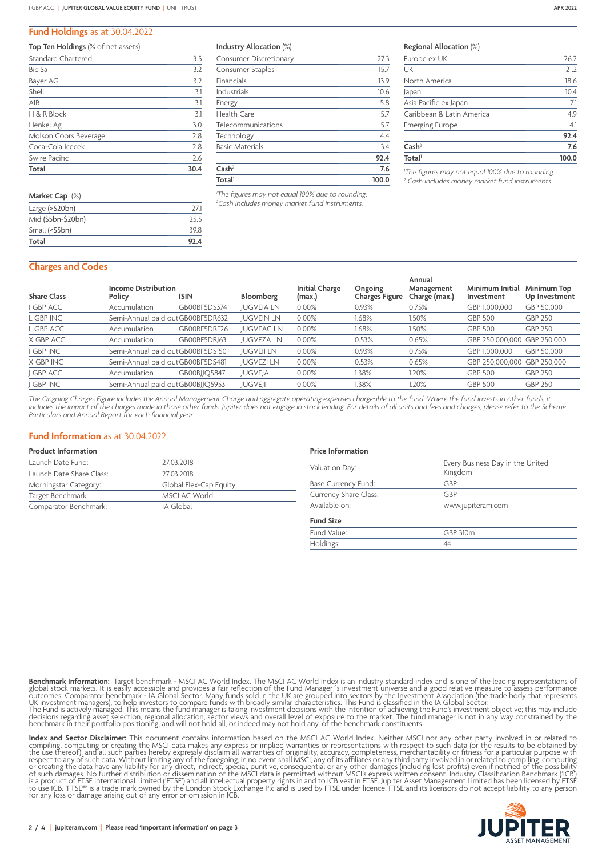# **Fund Holdings** as at 30.04.2022

| Top Ten Holdings (% of net assets) |  |  |
|------------------------------------|--|--|
|------------------------------------|--|--|

| Total                 | 30.4 |
|-----------------------|------|
| Swire Pacific         | 2.6  |
| Coca-Cola Icecek      | 2.8  |
| Molson Coors Beverage | 2.8  |
| Henkel Ag             | 3.0  |
| H & R Block           | 3.1  |
| AIB                   | 3.1  |
| Shell                 | 3.1  |
| Bayer AG              | 3.2  |
| <b>Bic Sa</b>         | 3.2  |
| Standard Chartered    | 3.5  |

| Market Cap (%)            |      |
|---------------------------|------|
| Large $(>\frac{5}{20bn})$ | 271  |
| Mid (\$5bn-\$20bn)        | 255  |
| Small (<\$5bn)            | 398  |
| Total                     | 92.4 |

**Industry Allocation** (%)

| 27.3  |
|-------|
| 15.7  |
| 13.9  |
| 10.6  |
| 5.8   |
| 5.7   |
| 5.7   |
| 4.4   |
| 3.4   |
| 92.4  |
| 7.6   |
| 100.0 |
|       |

*1 The figures may not equal 100% due to rounding. 2 Cash includes money market fund instruments.*

### **Regional Allocation** (%)

| Total <sup>1</sup>        | 100.0 |
|---------------------------|-------|
| $\mathsf{Cash}^2$         | 7.6   |
|                           | 92.4  |
| <b>Emerging Europe</b>    | 4.1   |
| Caribbean & Latin America | 4.9   |
| Asia Pacific ex Japan     | 7.1   |
| Japan                     | 10.4  |
| North America             | 18.6  |
| UK                        | 21.2  |
| Europe ex UK              | 26.2  |

*1 The figures may not equal 100% due to rounding. 2 Cash includes money market fund instruments.*

# **Charges and Codes**

|                    | <b>Income Distribution</b>       |              |                   | <b>Initial Charge</b> | Ongoing               | Annual<br>Management | Minimum Initial             | Minimum Top    |
|--------------------|----------------------------------|--------------|-------------------|-----------------------|-----------------------|----------------------|-----------------------------|----------------|
| <b>Share Class</b> | Policy                           | <b>ISIN</b>  | Bloomberg         | (max.)                | <b>Charges Figure</b> | Charge (max.)        | Investment                  | Up Investment  |
| I GBP ACC          | Accumulation                     | GB00BF5DS374 | <b>JUGVEIA LN</b> | $0.00\%$              | 0.93%                 | 0.75%                | GBP 1,000,000               | GBP 50,000     |
| L GBP INC          | Semi-Annual paid outGB00BF5DR632 |              | <b>JUGVEIN LN</b> | $0.00\%$              | 1.68%                 | 1.50%                | <b>GBP 500</b>              | <b>GBP 250</b> |
| L GBP ACC          | Accumulation                     | GB00BF5DRF26 | <b>JUGVEACLN</b>  | $0.00\%$              | 1.68%                 | 1.50%                | <b>GBP 500</b>              | <b>GBP 250</b> |
| X GBP ACC          | Accumulation                     | GB00BF5DRI63 | <b>JUGVEZA LN</b> | 0.00%                 | 0.53%                 | 0.65%                | GBP 250.000.000 GBP 250.000 |                |
| I GBP INC          | Semi-Annual paid outGB00BF5DS150 |              | <b>JUGVEII LN</b> | 0.00%                 | 0.93%                 | 0.75%                | GBP 1.000.000               | GBP 50.000     |
| X GBP INC          | Semi-Annual paid outGB00BF5DS481 |              | <b>JUGVEZI LN</b> | 0.00%                 | 0.53%                 | 0.65%                | GBP 250.000.000 GBP 250.000 |                |
| J GBP ACC          | Accumulation                     | GB00BIIO5847 | <b>JUGVEJA</b>    | 0.00%                 | .38%                  | 1.20%                | <b>GBP 500</b>              | <b>GBP 250</b> |
| J GBP INC          | Semi-Annual paid outGB00BJJQ5953 |              | <b>JUGVEJI</b>    | 0.00%                 | .38%                  | 1.20%                | <b>GBP 500</b>              | <b>GBP 250</b> |

*The Ongoing Charges Figure includes the Annual Management Charge and aggregate operating expenses chargeable to the fund. Where the fund invests in other funds, it includes the impact of the charges made in those other funds. Jupiter does not engage in stock lending. For details of all units and fees and charges, please refer to the Scheme Particulars and Annual Report for each financial year.*

## **Fund Information** as at 30.04.2022

# **Product Information**

| Launch Date Fund:        | 27.03.2018             |
|--------------------------|------------------------|
| Launch Date Share Class: | 27.03.2018             |
| Morningstar Category:    | Global Flex-Cap Equity |
| Target Benchmark:        | MSCI AC World          |
| Comparator Benchmark:    | IA Global              |

# **Price Information** Valuation Day: Every Business Day in the United Kingdom Base Currency Fund: GBP Currency Share Class: GBP Available on: www.jupiteram.com **Fund Size** Fund Value: GBP 310m Holdings: 44

**Benchmark Information:** Target benchmark - MSCI AC World Index. The MSCI AC World Index is an industry standard index and is one of the leading representations of global stock markets. It is easily accessible and provides

**Index and Sector Disclaimer:** This document contains information based on the MSCI AC World Index. Neither MSCI nor any other party involved in or related to<br>compiling, computing or creating the MSCI data makes any expres for any loss or damage arising out of any error or omission in ICB.

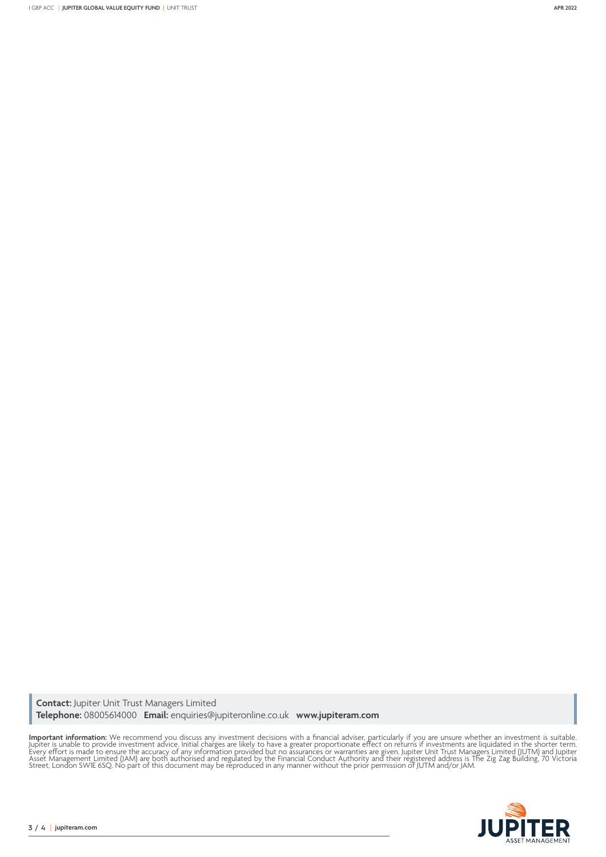**Contact:** Jupiter Unit Trust Managers Limited **Telephone:** 08005614000 **Email:** enquiries@jupiteronline.co.uk **www.jupiteram.com**

**Important information:** We recommend you discuss any investment decisions with a financial adviser, particularly if you are unsure whether an investment is suitable.<br>Jupiter is unable to provide investment advice. Initial